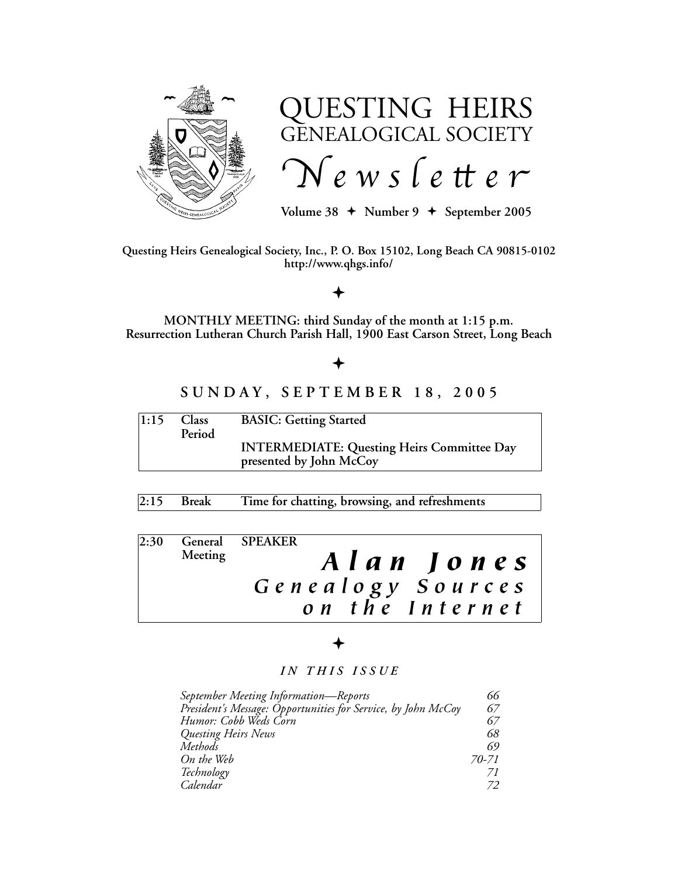

# QUESTING HEIRS GENEALOGICAL SOCIETY  $N$  *e*  $w$   $s$   $l$   $e$   $tt$   $e$   $r$

Volume  $38 + \text{Number } 9 + \text{September } 2005$ 

**Questing Heirs Genealogical Society, Inc., P. O. Box 15102, Long Beach CA 90815-0102 http://www.qhgs.info/**

## $\bigstar$

**MONTHLY MEETING: third Sunday of the month at 1:15 p.m. Resurrection Lutheran Church Parish Hall, 1900 East Carson Street, Long Beach**

## $\bigstar$

## **S U N D A Y , S E P T E M B E R 1 8 , 2 0 0 5**

| 1:15 | <b>Class</b><br>Period | <b>BASIC: Getting Started</b>                                                |
|------|------------------------|------------------------------------------------------------------------------|
|      |                        | <b>INTERMEDIATE: Questing Heirs Committee Day</b><br>presented by John McCoy |

**2:15 Break Time for chatting, browsing, and refreshments**

| 2:30 |         | General SPEAKER   |  |
|------|---------|-------------------|--|
|      | Meeting | Alan Jones        |  |
|      |         | Genealogy Sources |  |
|      |         | on the Internet   |  |

## $\bigstar$

#### *I N T H I S I S S U E*

| September Meeting Information-Reports                         | 66    |
|---------------------------------------------------------------|-------|
| President's Message: Opportunities for Service, by John McCoy | 67    |
| Humor: Cobb Weds Corn                                         | 67    |
| Questing Heirs News                                           | 68    |
| Methods                                                       | 69    |
| On the Web                                                    | 70-71 |
| Technology                                                    |       |
| Calendar                                                      | 72    |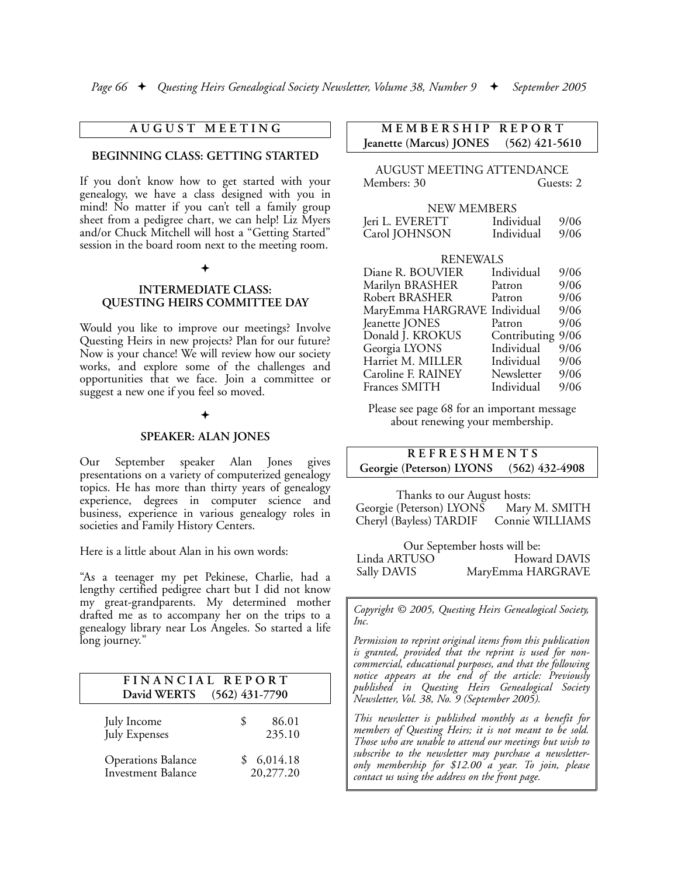#### **A U G U S T M E E T I N G**

#### **BEGINNING CLASS: GETTING STARTED**

If you don't know how to get started with your genealogy, we have a class designed with you in mind! No matter if you can't tell a family group sheet from a pedigree chart, we can help! Liz Myers and/or Chuck Mitchell will host a "Getting Started" session in the board room next to the meeting room.

#### $\bigstar$

#### **INTERMEDIATE CLASS: QUESTING HEIRS COMMITTEE DAY**

Would you like to improve our meetings? Involve Questing Heirs in new projects? Plan for our future? Now is your chance! We will review how our society works, and explore some of the challenges and opportunities that we face. Join a committee or suggest a new one if you feel so moved.

#### $\bigstar$

#### **SPEAKER: ALAN JONES**

Our September speaker Alan Jones gives presentations on a variety of computerized genealogy topics. He has more than thirty years of genealogy experience, degrees in computer science and business, experience in various genealogy roles in societies and Family History Centers.

Here is a little about Alan in his own words:

"As a teenager my pet Pekinese, Charlie, had a lengthy certified pedigree chart but I did not know my great-grandparents. My determined mother drafted me as to accompany her on the trips to a genealogy library near Los Angeles. So started a life long journey."

| David WERTS                                            | FINANCIAL REPORT<br>$(562)$ 431-7790 |
|--------------------------------------------------------|--------------------------------------|
| July Income<br>July Expenses                           | 86.01<br>S<br>235.10                 |
| <b>Operations Balance</b><br><b>Investment Balance</b> | \$6,014.18<br>20,277.20              |

#### **M E M B E R S H I P R E P O R T Jeanette (Marcus) JONES (562) 421-5610**

AUGUST MEETING ATTENDANCE Members: 30 Guests: 2

| NEW MEMBERS     |            |      |  |
|-----------------|------------|------|--|
| Jeri L. EVERETT | Individual | 9/06 |  |
| Carol JOHNSON   | Individual | 9/06 |  |

#### RENEWALS

| Individual | 9/06                                         |
|------------|----------------------------------------------|
| Patron     | 9/06                                         |
| Patron     | 9/06                                         |
|            | 9/06                                         |
| Patron     | 9/06                                         |
|            | 9/06                                         |
| Individual | 9/06                                         |
| Individual | 9/06                                         |
| Newsletter | 9/06                                         |
| Individual | 9/06                                         |
|            | MaryEmma HARGRAVE Individual<br>Contributing |

Please see page 68 for an important message about renewing your membership.

**R E F R E S H M E N T S Georgie (Peterson) LYONS (562) 432-4908**

Thanks to our August hosts: Georgie (Peterson) LYONS Mary M. SMITH Cheryl (Bayless) TARDIF Connie WILLIAMS

| Our September hosts will be: |                   |  |  |
|------------------------------|-------------------|--|--|
| Linda ARTUSO                 | Howard DAVIS      |  |  |
| Sally DAVIS                  | MaryEmma HARGRAVE |  |  |

*Copyright © 2005, Questing Heirs Genealogical Society, Inc.*

*Permission to reprint original items from this publication is granted, provided that the reprint is used for noncommercial, educational purposes, and that the following notice appears at the end of the article: Previously published in Questing Heirs Genealogical Society Newsletter, Vol. 38, No. 9 (September 2005).*

*This newsletter is published monthly as a benefit for members of Questing Heirs; it is not meant to be sold. Those who are unable to attend our meetings but wish to subscribe to the newsletter may purchase a newsletteronly membership for \$12.00 a year. To join, please contact us using the address on the front page.*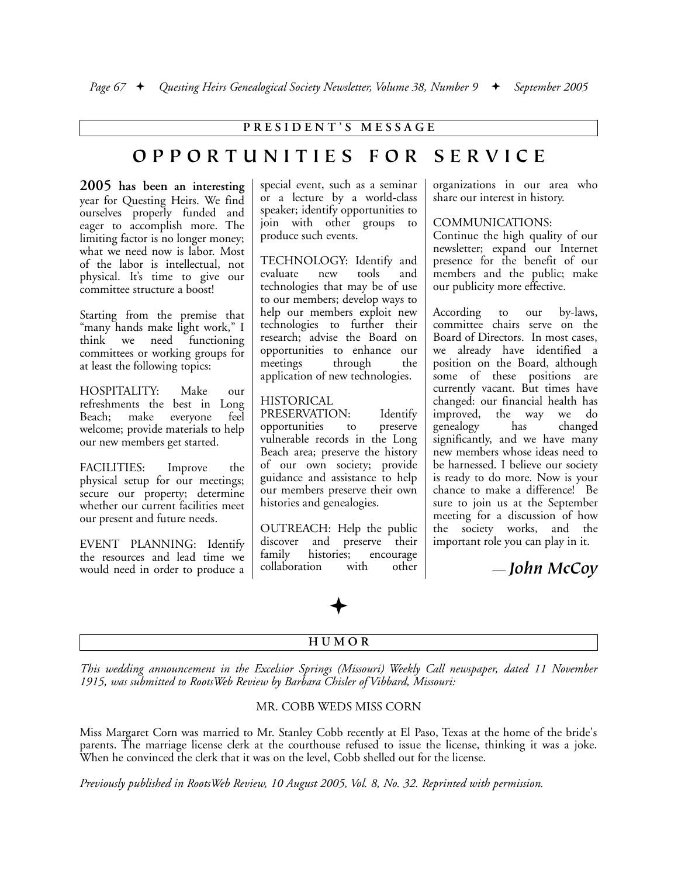#### **P R E S I D E N T ' S M E S S A G E**

## **O P P O R T U N I T I E S F O R S E R V I C E**

**2005 has been an interesting** year for Questing Heirs. We find ourselves properly funded and eager to accomplish more. The limiting factor is no longer money; what we need now is labor. Most of the labor is intellectual, not physical. It's time to give our committee structure a boost!

Starting from the premise that "many hands make light work," I<br>think we need functioning think we need committees or working groups for at least the following topics:

HOSPITALITY: Make our refreshments the best in Long Beach; make everyone feel welcome; provide materials to help our new members get started.

FACILITIES: Improve the physical setup for our meetings; secure our property; determine whether our current facilities meet our present and future needs.

EVENT PLANNING: Identify the resources and lead time we would need in order to produce a special event, such as a seminar or a lecture by a world-class speaker; identify opportunities to join with other groups to produce such events.

TECHNOLOGY: Identify and evaluate new tools and technologies that may be of use to our members; develop ways to help our members exploit new technologies to further their research; advise the Board on opportunities to enhance our meetings through the application of new technologies.

#### HISTORICAL

PRESERVATION: Identify<br>opportunities to preserve opportunities to vulnerable records in the Long Beach area; preserve the history of our own society; provide guidance and assistance to help our members preserve their own histories and genealogies.

OUTREACH: Help the public discover and preserve their family histories; encourage collaboration with other organizations in our area who share our interest in history.

#### COMMUNICATIONS:

Continue the high quality of our newsletter; expand our Internet presence for the benefit of our members and the public; make our publicity more effective.

According to our by-laws, committee chairs serve on the Board of Directors. In most cases, we already have identified a position on the Board, although some of these positions are currently vacant. But times have changed: our financial health has improved, the way we do genealogy has changed significantly, and we have many new members whose ideas need to be harnessed. I believe our society is ready to do more. Now is your chance to make a difference! Be sure to join us at the September meeting for a discussion of how the society works, and the important role you can play in it.

## — *John McCoy*

#### **H U M O R**

 $\bigstar$ 

*This wedding announcement in the Excelsior Springs (Missouri) Weekly Call newspaper, dated 11 November 1915, was submitted to RootsWeb Review by Barbara Chisler of Vibbard, Missouri:*

#### MR. COBB WEDS MISS CORN

Miss Margaret Corn was married to Mr. Stanley Cobb recently at El Paso, Texas at the home of the bride's parents. The marriage license clerk at the courthouse refused to issue the license, thinking it was a joke. When he convinced the clerk that it was on the level, Cobb shelled out for the license.

*Previously published in RootsWeb Review, 10 August 2005, Vol. 8, No. 32. Reprinted with permission.*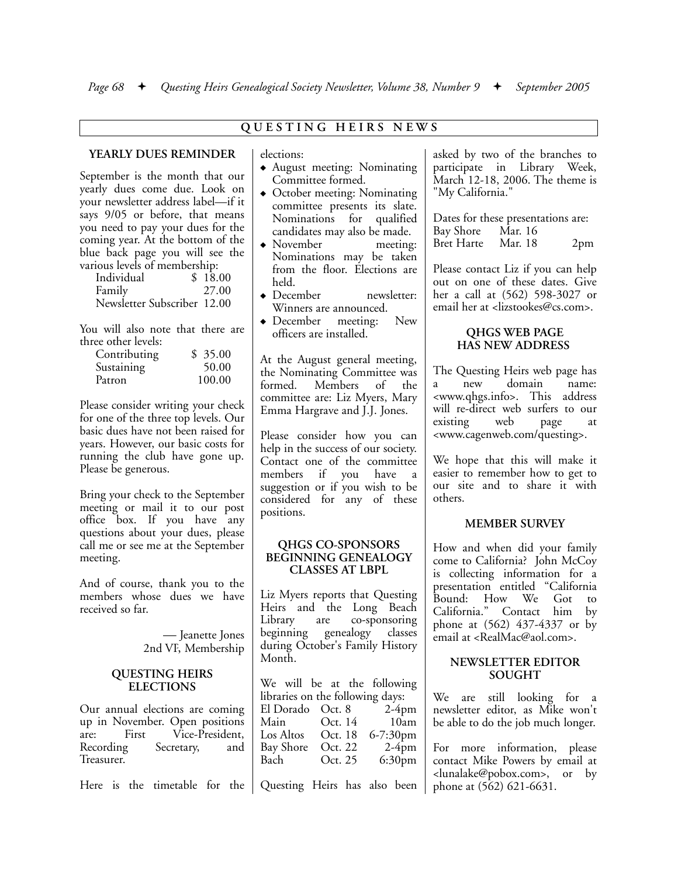**Q U E S T I N G H E I R S N E W S**

#### **YEARLY DUES REMINDER**

September is the month that our yearly dues come due. Look on your newsletter address label—if it says 9/05 or before, that means you need to pay your dues for the coming year. At the bottom of the blue back page you will see the various levels of membership:

| поця ісусія от піспіцствінр. |         |
|------------------------------|---------|
| Individual                   | \$18.00 |
| Family                       | 27.00   |
| Newsletter Subscriber 12.00  |         |

You will also note that there are three other levels:

| Contributing | \$35.00 |
|--------------|---------|
| Sustaining   | 50.00   |
| Patron       | 100.00  |

Please consider writing your check for one of the three top levels. Our basic dues have not been raised for years. However, our basic costs for running the club have gone up. Please be generous.

Bring your check to the September meeting or mail it to our post office box. If you have any questions about your dues, please call me or see me at the September meeting.

And of course, thank you to the members whose dues we have received so far.

> — Jeanette Jones 2nd VP, Membership

#### **QUESTING HEIRS ELECTIONS**

Our annual elections are coming up in November. Open positions are: First Vice-President, Recording Secretary, and Treasurer.

elections:

- ! August meeting: Nominating Committee formed.
- October meeting: Nominating committee presents its slate. Nominations for qualified candidates may also be made.
- November meeting: Nominations may be taken from the floor. Elections are held.
- December newsletter: Winners are announced.
- December meeting: New officers are installed.

At the August general meeting, the Nominating Committee was formed. Members of the committee are: Liz Myers, Mary Emma Hargrave and J.J. Jones.

Please consider how you can help in the success of our society. Contact one of the committee members if you have a suggestion or if you wish to be considered for any of these positions.

#### **QHGS CO-SPONSORS BEGINNING GENEALOGY CLASSES AT LBPL**

Liz Myers reports that Questing Heirs and the Long Beach<br>Library are co-sponsoring are co-sponsoring beginning genealogy classes during October's Family History Month.

We will be at the following libraries on the following days:

| El Dorado Oct. 8 |         | $2-4$ pm           |
|------------------|---------|--------------------|
| Main             | Oct. 14 | 10am               |
| Los Altos        | Oct. 18 | 6-7:30pm           |
| Bay Shore        | Oct. 22 | $2-4$ pm           |
| Bach             | Oct. 25 | 6:30 <sub>pm</sub> |
|                  |         |                    |

Here is the timetable for the Questing Heirs has also been

asked by two of the branches to participate in Library Week, March 12-18, 2006. The theme is "My California."

Dates for these presentations are: Bay Shore Mar. 16<br>Bret Harte Mar. 18 Bret Harte Mar. 18 2pm

Please contact Liz if you can help out on one of these dates. Give her a call at (562) 598-3027 or email her at <lizstookes@cs.com>.

#### **QHGS WEB PAGE HAS NEW ADDRESS**

The Questing Heirs web page has a new domain name: <www.qhgs.info>. This address will re-direct web surfers to our existing web page at <www.cagenweb.com/questing>.

We hope that this will make it easier to remember how to get to our site and to share it with others.

#### **MEMBER SURVEY**

How and when did your family come to California? John McCoy is collecting information for a presentation entitled "California Bound: How We Got to<br>California." Contact him by Contact him by phone at (562) 437-4337 or by email at <RealMac@aol.com>.

#### **NEWSLETTER EDITOR SOUGHT**

We are still looking for a newsletter editor, as Mike won't be able to do the job much longer.

For more information, please contact Mike Powers by email at <lunalake@pobox.com>, or by phone at (562) 621-6631.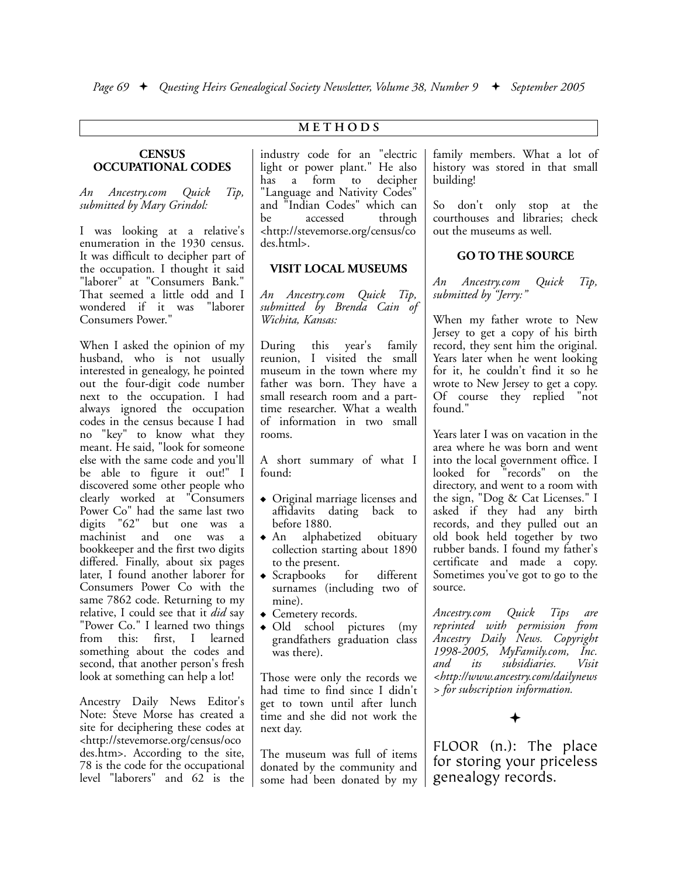#### **M E T H O D S**

#### **CENSUS OCCUPATIONAL CODES**

*An Ancestry.com Quick Tip, submitted by Mary Grindol:*

I was looking at a relative's enumeration in the 1930 census. It was difficult to decipher part of the occupation. I thought it said "laborer" at "Consumers Bank." That seemed a little odd and I wondered if it was "laborer Consumers Power."

When I asked the opinion of my husband, who is not usually interested in genealogy, he pointed out the four-digit code number next to the occupation. I had always ignored the occupation codes in the census because I had no "key" to know what they meant. He said, "look for someone else with the same code and you'll be able to figure it out!" I discovered some other people who clearly worked at "Consumers Power Co" had the same last two digits "62" but one was a machinist and one was a bookkeeper and the first two digits differed. Finally, about six pages later, I found another laborer for Consumers Power Co with the same 7862 code. Returning to my relative, I could see that it *did* say "Power Co." I learned two things from this: first, I learned something about the codes and second, that another person's fresh look at something can help a lot!

Ancestry Daily News Editor's Note: Steve Morse has created a site for deciphering these codes at <http://stevemorse.org/census/oco des.htm>. According to the site, 78 is the code for the occupational level "laborers" and 62 is the industry code for an "electric light or power plant." He also has a form to decipher "Language and Nativity Codes" and "Indian Codes" which can be accessed through <http://stevemorse.org/census/co des.html>.

#### **VISIT LOCAL MUSEUMS**

*An Ancestry.com Quick Tip, submitted by Brenda Cain of Wichita, Kansas:*

During this year's family reunion, I visited the small museum in the town where my father was born. They have a small research room and a parttime researcher. What a wealth of information in two small rooms.

A short summary of what I found:

- ! Original marriage licenses and affidavits dating back to before 1880.
- $\bullet$  An alphabetized obituary collection starting about 1890 to the present.
- Scrapbooks for different surnames (including two of mine).
- Cemetery records.
- ! Old school pictures (my grandfathers graduation class was there).

Those were only the records we had time to find since I didn't get to town until after lunch time and she did not work the next day.

The museum was full of items donated by the community and some had been donated by my family members. What a lot of history was stored in that small building!

So don't only stop at the courthouses and libraries; check out the museums as well.

#### **GO TO THE SOURCE**

*An Ancestry.com Quick Tip, submitted by "Jerry:"*

When my father wrote to New Jersey to get a copy of his birth record, they sent him the original. Years later when he went looking for it, he couldn't find it so he wrote to New Jersey to get a copy. Of course they replied "not found."

Years later I was on vacation in the area where he was born and went into the local government office. I looked for "records" on the directory, and went to a room with the sign, "Dog & Cat Licenses." I asked if they had any birth records, and they pulled out an old book held together by two rubber bands. I found my father's certificate and made a copy. Sometimes you've got to go to the source.

*Ancestry.com Quick Tips are reprinted with permission from Ancestry Daily News. Copyright 1998-2005, MyFamily.com, Inc. its subsidiaries. <http://www.ancestry.com/dailynews > for subscription information.*

 $\bigstar$ 

FLOOR (n.): The place for storing your priceless genealogy records.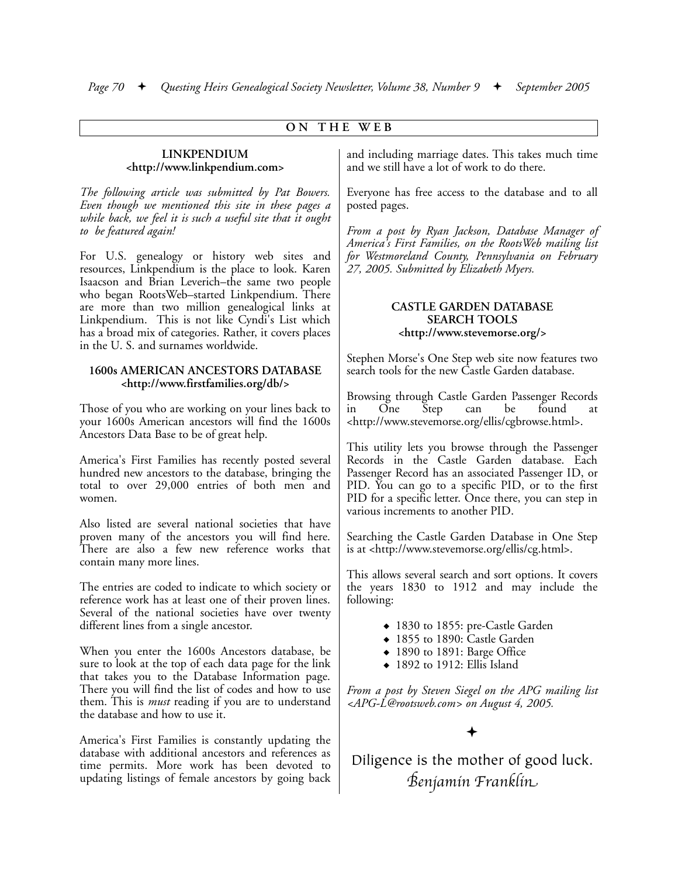#### **O N T H E W E B LINKPENDIUM <http://www.linkpendium.com>** *The following article was submitted by Pat Bowers. Even though we mentioned this site in these pages a while back, we feel it is such a useful site that it ought to be featured again!* For U.S. genealogy or history web sites and resources, Linkpendium is the place to look. Karen Isaacson and Brian Leverich–the same two people who began RootsWeb–started Linkpendium. There are more than two million genealogical links at Linkpendium. This is not like Cyndi's List which has a broad mix of categories. Rather, it covers places in the U. S. and surnames worldwide. **1600s AMERICAN ANCESTORS DATABASE <http://www.firstfamilies.org/db/>** Those of you who are working on your lines back to your 1600s American ancestors will find the 1600s Ancestors Data Base to be of great help. America's First Families has recently posted several hundred new ancestors to the database, bringing the total to over 29,000 entries of both men and women. Also listed are several national societies that have proven many of the ancestors you will find here. There are also a few new reference works that contain many more lines. The entries are coded to indicate to which society or reference work has at least one of their proven lines. Several of the national societies have over twenty different lines from a single ancestor. When you enter the 1600s Ancestors database, be sure to look at the top of each data page for the link that takes you to the Database Information page. There you will find the list of codes and how to use them. This is *must* reading if you are to understand the database and how to use it. America's First Families is constantly updating the database with additional ancestors and references as time permits. More work has been devoted to updating listings of female ancestors by going back and including marriage dates. This takes much time and we still have a lot of work to do there. Everyone has free access to the database and to all posted pages. *From a post by Ryan Jackson, Database Manager of America's First Families, on the RootsWeb mailing list for Westmoreland County, Pennsylvania on February 27, 2005. Submitted by Elizabeth Myers.* **CASTLE GARDEN DATABASE SEARCH TOOLS <http://www.stevemorse.org/>** Stephen Morse's One Step web site now features two search tools for the new Castle Garden database. Browsing through Castle Garden Passenger Records in One Step can be found at <http://www.stevemorse.org/ellis/cgbrowse.html>. This utility lets you browse through the Passenger Records in the Castle Garden database. Each Passenger Record has an associated Passenger ID, or PID. You can go to a specific PID, or to the first PID for a specific letter. Once there, you can step in various increments to another PID. Searching the Castle Garden Database in One Step is at <http://www.stevemorse.org/ellis/cg.html>. This allows several search and sort options. It covers the years 1830 to 1912 and may include the following: • 1830 to 1855: pre-Castle Garden ◆ 1855 to 1890: Castle Garden  $\triangleleft$  1890 to 1891: Barge Office  $\div$  1892 to 1912: Ellis Island *From a post by Steven Siegel on the APG mailing list <APG-L@rootsweb.com> on August 4, 2005.*  $\bigstar$ Diligence is the mother of good luck. \$*enjamin Frankli*%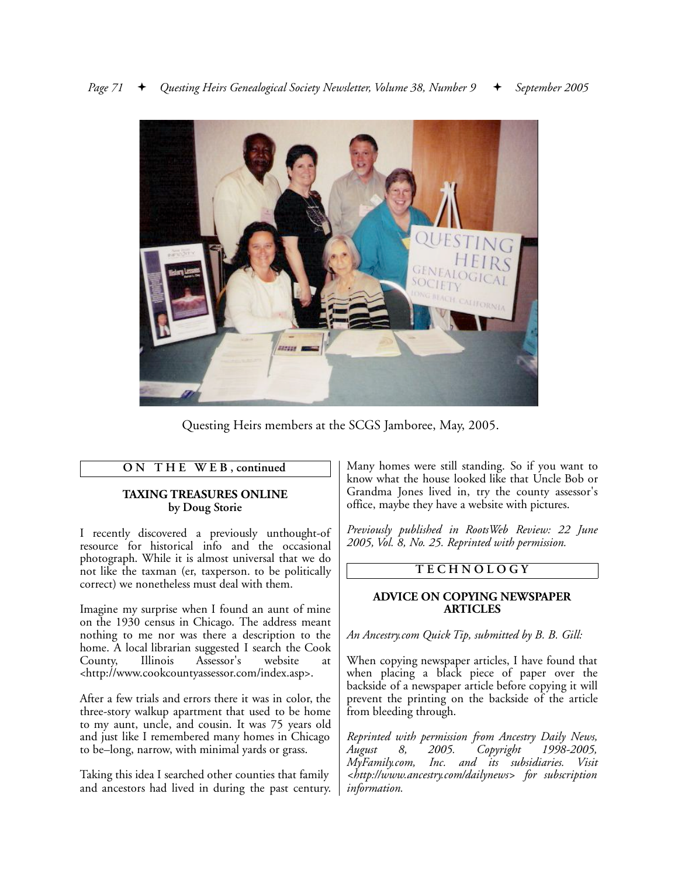

Questing Heirs members at the SCGS Jamboree, May, 2005.

### **O N T H E W E B , continued**

#### **TAXING TREASURES ONLINE by Doug Storie**

I recently discovered a previously unthought-of resource for historical info and the occasional photograph. While it is almost universal that we do not like the taxman (er, taxperson. to be politically correct) we nonetheless must deal with them.

Imagine my surprise when I found an aunt of mine on the 1930 census in Chicago. The address meant nothing to me nor was there a description to the home. A local librarian suggested I search the Cook County, Illinois Assessor's website at <http://www.cookcountyassessor.com/index.asp>.

After a few trials and errors there it was in color, the three-story walkup apartment that used to be home to my aunt, uncle, and cousin. It was 75 years old and just like I remembered many homes in Chicago to be–long, narrow, with minimal yards or grass.

Taking this idea I searched other counties that family and ancestors had lived in during the past century. Many homes were still standing. So if you want to know what the house looked like that Uncle Bob or Grandma Jones lived in, try the county assessor's office, maybe they have a website with pictures.

*Previously published in RootsWeb Review: 22 June 2005, Vol. 8, No. 25. Reprinted with permission.*

## **T E C H N O L O G Y**

#### **ADVICE ON COPYING NEWSPAPER ARTICLES**

*An Ancestry.com Quick Tip, submitted by B. B. Gill:*

When copying newspaper articles, I have found that when placing a black piece of paper over the backside of a newspaper article before copying it will prevent the printing on the backside of the article from bleeding through.

*Reprinted with permission from Ancestry Daily News, August 8, 2005. Copyright 1998-2005, MyFamily.com, Inc. and its subsidiaries. Visit <http://www.ancestry.com/dailynews> for subscription information.*